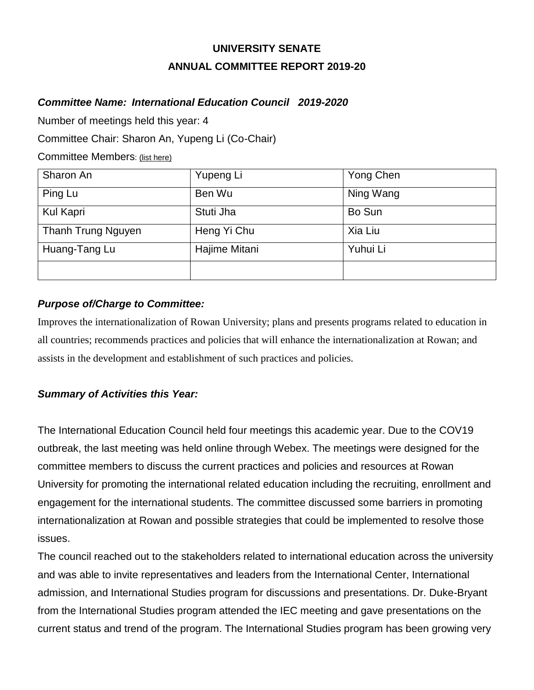# **UNIVERSITY SENATE ANNUAL COMMITTEE REPORT 2019-20**

## *Committee Name: International Education Council 2019-2020*

Number of meetings held this year: 4

Committee Chair: Sharon An, Yupeng Li (Co-Chair)

Committee Members: (list here)

| Sharon An          | Yupeng Li     | Yong Chen |
|--------------------|---------------|-----------|
| Ping Lu            | Ben Wu        | Ning Wang |
| Kul Kapri          | Stuti Jha     | Bo Sun    |
| Thanh Trung Nguyen | Heng Yi Chu   | Xia Liu   |
| Huang-Tang Lu      | Hajime Mitani | Yuhui Li  |
|                    |               |           |

## *Purpose of/Charge to Committee:*

Improves the internationalization of Rowan University; plans and presents programs related to education in all countries; recommends practices and policies that will enhance the internationalization at Rowan; and assists in the development and establishment of such practices and policies.

## *Summary of Activities this Year:*

The International Education Council held four meetings this academic year. Due to the COV19 outbreak, the last meeting was held online through Webex. The meetings were designed for the committee members to discuss the current practices and policies and resources at Rowan University for promoting the international related education including the recruiting, enrollment and engagement for the international students. The committee discussed some barriers in promoting internationalization at Rowan and possible strategies that could be implemented to resolve those issues.

The council reached out to the stakeholders related to international education across the university and was able to invite representatives and leaders from the International Center, International admission, and International Studies program for discussions and presentations. Dr. Duke-Bryant from the International Studies program attended the IEC meeting and gave presentations on the current status and trend of the program. The International Studies program has been growing very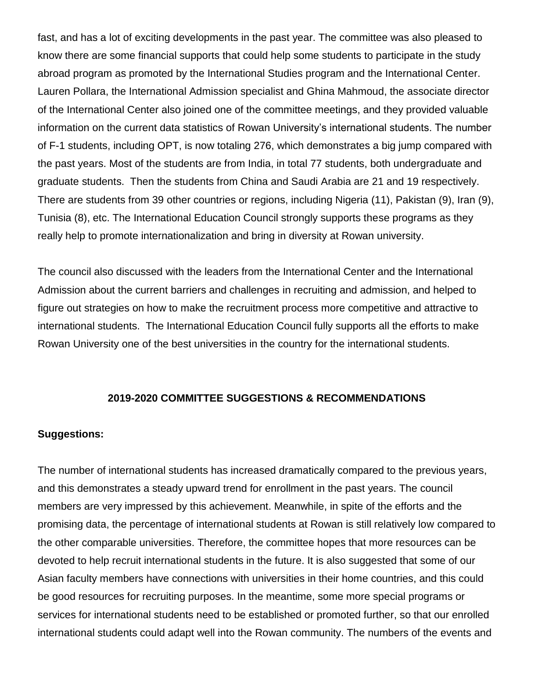fast, and has a lot of exciting developments in the past year. The committee was also pleased to know there are some financial supports that could help some students to participate in the study abroad program as promoted by the International Studies program and the International Center. Lauren Pollara, the International Admission specialist and Ghina Mahmoud, the associate director of the International Center also joined one of the committee meetings, and they provided valuable information on the current data statistics of Rowan University's international students. The number of F-1 students, including OPT, is now totaling 276, which demonstrates a big jump compared with the past years. Most of the students are from India, in total 77 students, both undergraduate and graduate students. Then the students from China and Saudi Arabia are 21 and 19 respectively. There are students from 39 other countries or regions, including Nigeria (11), Pakistan (9), Iran (9), Tunisia (8), etc. The International Education Council strongly supports these programs as they really help to promote internationalization and bring in diversity at Rowan university.

The council also discussed with the leaders from the International Center and the International Admission about the current barriers and challenges in recruiting and admission, and helped to figure out strategies on how to make the recruitment process more competitive and attractive to international students. The International Education Council fully supports all the efforts to make Rowan University one of the best universities in the country for the international students.

#### **2019-2020 COMMITTEE SUGGESTIONS & RECOMMENDATIONS**

#### **Suggestions:**

The number of international students has increased dramatically compared to the previous years, and this demonstrates a steady upward trend for enrollment in the past years. The council members are very impressed by this achievement. Meanwhile, in spite of the efforts and the promising data, the percentage of international students at Rowan is still relatively low compared to the other comparable universities. Therefore, the committee hopes that more resources can be devoted to help recruit international students in the future. It is also suggested that some of our Asian faculty members have connections with universities in their home countries, and this could be good resources for recruiting purposes. In the meantime, some more special programs or services for international students need to be established or promoted further, so that our enrolled international students could adapt well into the Rowan community. The numbers of the events and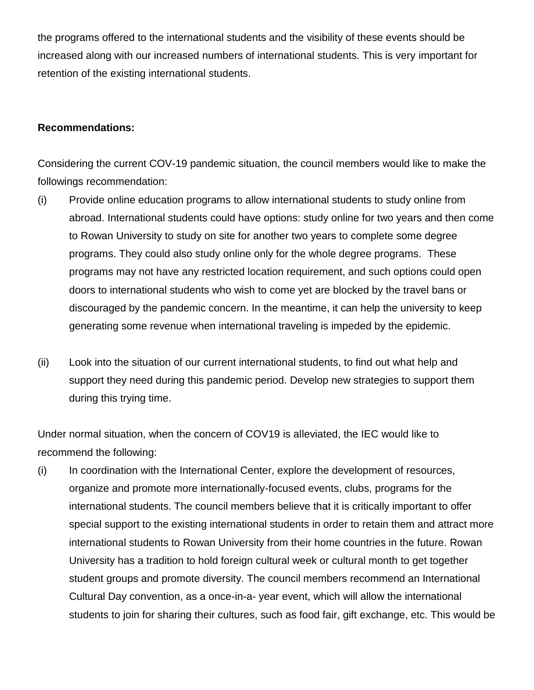the programs offered to the international students and the visibility of these events should be increased along with our increased numbers of international students. This is very important for retention of the existing international students.

#### **Recommendations:**

Considering the current COV-19 pandemic situation, the council members would like to make the followings recommendation:

- (i) Provide online education programs to allow international students to study online from abroad. International students could have options: study online for two years and then come to Rowan University to study on site for another two years to complete some degree programs. They could also study online only for the whole degree programs. These programs may not have any restricted location requirement, and such options could open doors to international students who wish to come yet are blocked by the travel bans or discouraged by the pandemic concern. In the meantime, it can help the university to keep generating some revenue when international traveling is impeded by the epidemic.
- (ii) Look into the situation of our current international students, to find out what help and support they need during this pandemic period. Develop new strategies to support them during this trying time.

Under normal situation, when the concern of COV19 is alleviated, the IEC would like to recommend the following:

(i) In coordination with the International Center, explore the development of resources, organize and promote more internationally-focused events, clubs, programs for the international students. The council members believe that it is critically important to offer special support to the existing international students in order to retain them and attract more international students to Rowan University from their home countries in the future. Rowan University has a tradition to hold foreign cultural week or cultural month to get together student groups and promote diversity. The council members recommend an International Cultural Day convention, as a once-in-a- year event, which will allow the international students to join for sharing their cultures, such as food fair, gift exchange, etc. This would be